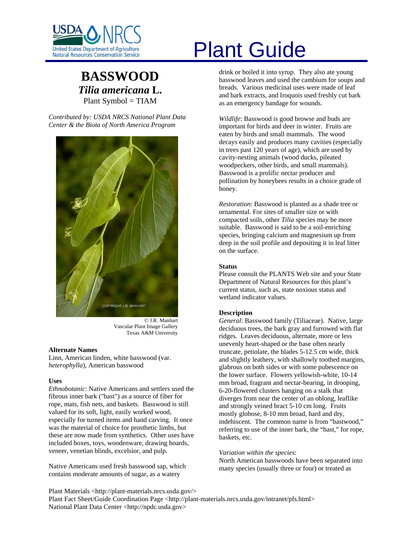

# **BASSWOOD** *Tilia americana* **L.**  Plant Symbol = TIAM

*Contributed by: USDA NRCS National Plant Data Center & the Biota of North America Program* 



© J.R. Manhart Vascular Plant Image Gallery Texas A&M University

#### **Alternate Names**

Linn, American linden, white basswood (var. *heterophylla*), American basswood

#### **Uses**

*Ethnobotanic*: Native Americans and settlers used the fibrous inner bark ("bast") as a source of fiber for rope, mats, fish nets, and baskets. Basswood is still valued for its soft, light, easily worked wood, especially for turned items and hand carving. It once was the material of choice for prosthetic limbs, but these are now made from synthetics. Other uses have included boxes, toys, woodenware, drawing boards, veneer, venetian blinds, excelsior, and pulp.

Native Americans used fresh basswood sap, which contains moderate amounts of sugar, as a watery

# United States Department of Agriculture<br>Natural Resources Conservation Service

drink or boiled it into syrup. They also ate young basswood leaves and used the cambium for soups and breads. Various medicinal uses were made of leaf and bark extracts, and Iroquois used freshly cut bark as an emergency bandage for wounds.

*Wildlife*: Basswood is good browse and buds are important for birds and deer in winter. Fruits are eaten by birds and small mammals. The wood decays easily and produces many cavities (especially in trees past 120 years of age), which are used by cavity-nesting animals (wood ducks, pileated woodpeckers, other birds, and small mammals). Basswood is a prolific nectar producer and pollination by honeybees results in a choice grade of honey.

*Restoration*: Basswood is planted as a shade tree or ornamental. For sites of smaller size or with compacted soils, other *Tilia* species may be more suitable. Basswood is said to be a soil-enriching species, bringing calcium and magnesium up from deep in the soil profile and depositing it in leaf litter on the surface.

#### **Status**

Please consult the PLANTS Web site and your State Department of Natural Resources for this plant's current status, such as, state noxious status and wetland indicator values.

### **Description**

*General*: Basswood family (Tiliaceae). Native, large deciduous trees, the bark gray and furrowed with flat ridges. Leaves deciduous, alternate, more or less unevenly heart-shaped or the base often nearly truncate, petiolate, the blades 5-12.5 cm wide, thick and slightly leathery, with shallowly toothed margins, glabrous on both sides or with some pubescence on the lower surface. Flowers yellowish-white, 10-14 mm broad, fragrant and nectar-bearing, in drooping, 6-20-flowered clusters hanging on a stalk that diverges from near the center of an oblong, leaflike and strongly veined bract 5-10 cm long. Fruits mostly globose, 8-10 mm broad, hard and dry, indehiscent. The common name is from "bastwood," referring to use of the inner bark, the "bast," for rope, baskets, etc.

### *Variation within the species*:

North American basswoods have been separated into many species (usually three or four) or treated as

Plant Materials <http://plant-materials.nrcs.usda.gov/> Plant Fact Sheet/Guide Coordination Page <http://plant-materials.nrcs.usda.gov/intranet/pfs.html> National Plant Data Center <http://npdc.usda.gov>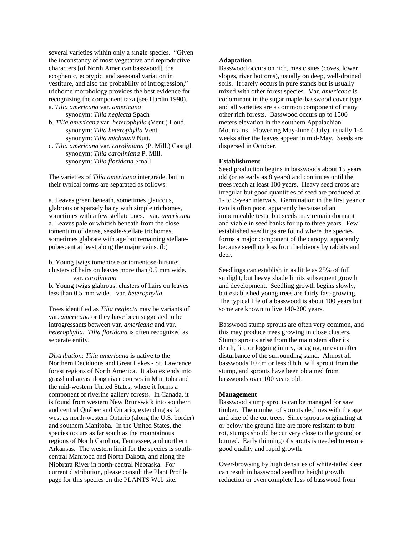several varieties within only a single species. "Given the inconstancy of most vegetative and reproductive characters [of North American basswood], the ecophenic, ecotypic, and seasonal variation in vestiture, and also the probability of introgression," trichome morphology provides the best evidence for recognizing the component taxa (see Hardin 1990). a. *Tilia americana* var. *americana*

 synonym: *Tilia neglecta* Spach b. *Tilia americana* var. *heterophylla* (Vent.) Loud. synonym: *Tilia heterophylla* Vent.

 synonym: *Tilia michauxii* Nutt. c. *Tilia americana* var. *caroliniana* (P. Mill.) Castigl. synonym: *Tilia caroliniana* P. Mill. synonym: *Tilia floridana* Small

The varieties of *Tilia americana* intergrade, but in their typical forms are separated as follows:

a. Leaves green beneath, sometimes glaucous, glabrous or sparsely hairy with simple trichomes, sometimes with a few stellate ones.var. *americana*  a. Leaves pale or whitish beneath from the close tomentum of dense, sessile-stellate trichomes, sometimes glabrate with age but remaining stellatepubescent at least along the major veins. (b)

b. Young twigs tomentose or tomentose-hirsute; clusters of hairs on leaves more than 0.5 mm wide. var. *caroliniana*

b. Young twigs glabrous; clusters of hairs on leaves less than 0.5 mm wide. var. *heterophylla*

Trees identified as *Tilia neglecta* may be variants of var. *americana* or they have been suggested to be introgressants between var. *americana* and var. *heterophylla*. *Tilia floridana* is often recognized as separate entity.

*Distribution*: *Tilia americana* is native to the Northern Deciduous and Great Lakes - St. Lawrence forest regions of North America. It also extends into grassland areas along river courses in Manitoba and the mid-western United States, where it forms a component of riverine gallery forests. In Canada, it is found from western New Brunswick into southern and central Québec and Ontario, extending as far west as north-western Ontario (along the U.S. border) and southern Manitoba. In the United States, the species occurs as far south as the mountainous regions of North Carolina, Tennessee, and northern Arkansas. The western limit for the species is southcentral Manitoba and North Dakota, and along the Niobrara River in north-central Nebraska. For current distribution, please consult the Plant Profile page for this species on the PLANTS Web site.

### **Adaptation**

Basswood occurs on rich, mesic sites (coves, lower slopes, river bottoms), usually on deep, well-drained soils. It rarely occurs in pure stands but is usually mixed with other forest species. Var. *americana* is codominant in the sugar maple-basswood cover type and all varieties are a common component of many other rich forests. Basswood occurs up to 1500 meters elevation in the southern Appalachian Mountains. Flowering May-June (-July), usually 1-4 weeks after the leaves appear in mid-May. Seeds are dispersed in October.

### **Establishment**

Seed production begins in basswoods about 15 years old (or as early as 8 years) and continues until the trees reach at least 100 years. Heavy seed crops are irregular but good quantities of seed are produced at 1- to 3-year intervals. Germination in the first year or two is often poor, apparently because of an impermeable testa, but seeds may remain dormant and viable in seed banks for up to three years. Few established seedlings are found where the species forms a major component of the canopy, apparently because seedling loss from herbivory by rabbits and deer.

Seedlings can establish in as little as 25% of full sunlight, but heavy shade limits subsequent growth and development. Seedling growth begins slowly, but established young trees are fairly fast-growing. The typical life of a basswood is about 100 years but some are known to live 140-200 years.

Basswood stump sprouts are often very common, and this may produce trees growing in close clusters. Stump sprouts arise from the main stem after its death, fire or logging injury, or aging, or even after disturbance of the surrounding stand. Almost all basswoods 10 cm or less d.b.h. will sprout from the stump, and sprouts have been obtained from basswoods over 100 years old.

## **Management**

Basswood stump sprouts can be managed for saw timber. The number of sprouts declines with the age and size of the cut trees. Since sprouts originating at or below the ground line are more resistant to butt rot, stumps should be cut very close to the ground or burned. Early thinning of sprouts is needed to ensure good quality and rapid growth.

Over-browsing by high densities of white-tailed deer can result in basswood seedling height growth reduction or even complete loss of basswood from